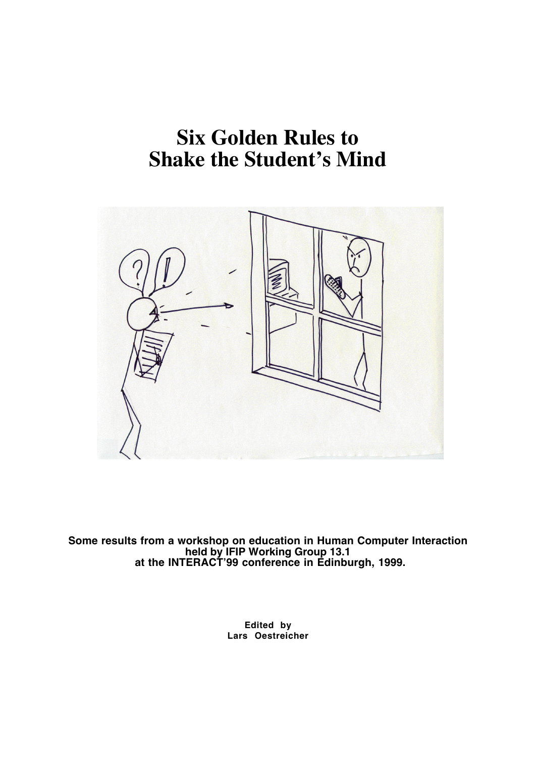# **Six Golden Rules to Shake the Student's Mind**



**Some results from a workshop on education in Human Computer Interaction held by IFIP Working Group 13.1 at the INTERACT'99 conference in Edinburgh, 1999.**

> **Edited by Lars Oestreicher**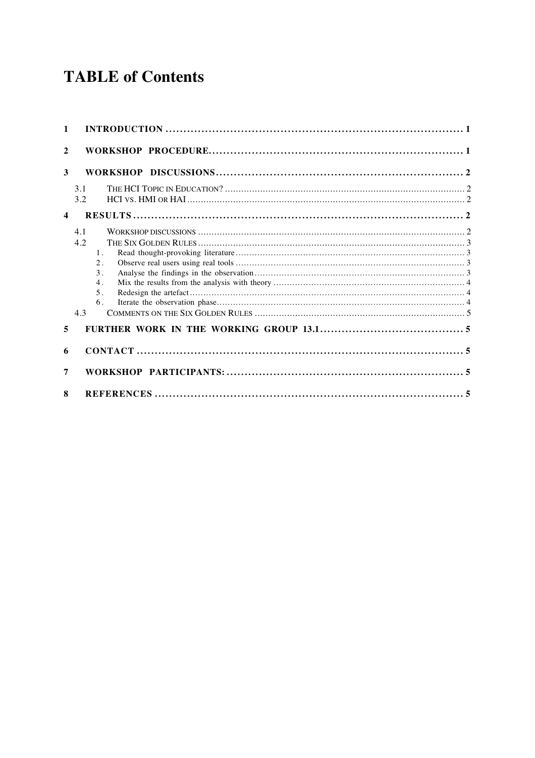## **TABLE of Contents**

| 1                       |                                                                                       |  |
|-------------------------|---------------------------------------------------------------------------------------|--|
| $\overline{2}$          |                                                                                       |  |
| 3                       |                                                                                       |  |
|                         | 3.1<br>3.2                                                                            |  |
| $\overline{\mathbf{4}}$ |                                                                                       |  |
|                         | 4.1<br>4.2<br>$1$ .<br>$2$ .<br>$\overline{3}$ .<br>4.<br>5 <sub>1</sub><br>6.<br>4.3 |  |
| 5                       |                                                                                       |  |
| 6                       |                                                                                       |  |
| 7                       |                                                                                       |  |
| 8                       |                                                                                       |  |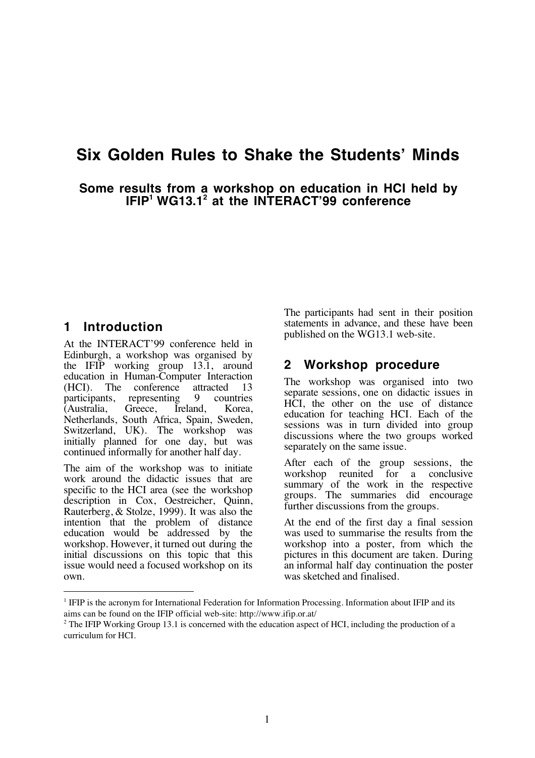## **Six Golden Rules to Shake the Students' Minds**

**Some results from a workshop on education in HCI held by IFIP1 WG13.12 at the INTERACT'99 conference**

## **1 Introduction**

 $\overline{a}$ 

At the INTERACT'99 conference held in Edinburgh, a workshop was organised by the IFIP working group 13.1, around education in Human-Computer Interaction (HCI). The conference attracted 13<br>participants representing 9 countries participants, representing 9 countries<br>(Australia, Greece, Ireland, Korea, (Australia, Greece, Ireland, Korea, Netherlands, South Africa, Spain, Sweden, Switzerland, UK). The workshop was initially planned for one day, but was continued informally for another half day.

The aim of the workshop was to initiate work around the didactic issues that are specific to the HCI area (see the workshop description in Cox, Oestreicher, Quinn, Rauterberg, & Stolze, 1999). It was also the intention that the problem of distance education would be addressed by the workshop. However, it turned out during the initial discussions on this topic that this issue would need a focused workshop on its own.

The participants had sent in their position statements in advance, and these have been published on the WG13.1 web-site.

## **2 Workshop procedure**

The workshop was organised into two separate sessions, one on didactic issues in HCI, the other on the use of distance education for teaching HCI. Each of the sessions was in turn divided into group discussions where the two groups worked separately on the same issue.

After each of the group sessions, the workshop reunited for a conclusive summary of the work in the respective groups. The summaries did encourage further discussions from the groups.

At the end of the first day a final session was used to summarise the results from the workshop into a poster, from which the pictures in this document are taken. During an informal half day continuation the poster was sketched and finalised.

<sup>&</sup>lt;sup>1</sup> IFIP is the acronym for International Federation for Information Processing. Information about IFIP and its aims can be found on the IFIP official web-site: http://www.ifip.or.at/

 $2$  The IFIP Working Group 13.1 is concerned with the education aspect of HCI, including the production of a curriculum for HCI.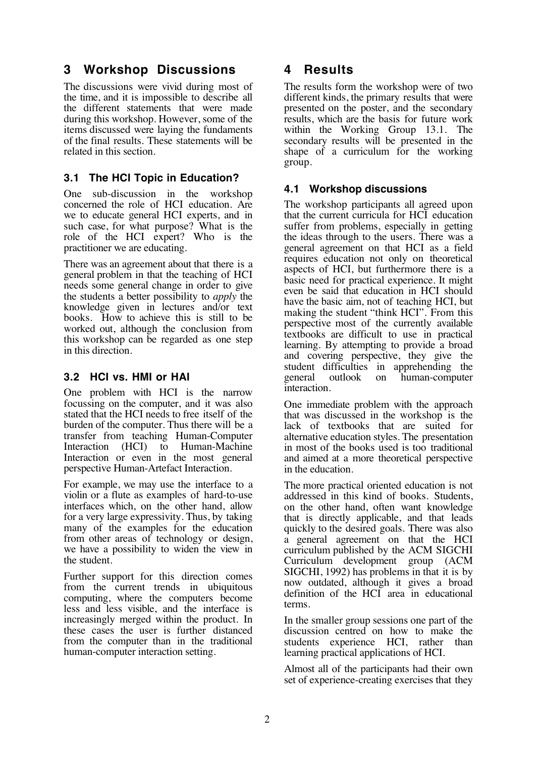## **3 Workshop Discussions**

The discussions were vivid during most of the time, and it is impossible to describe all the different statements that were made during this workshop. However, some of the items discussed were laying the fundaments of the final results. These statements will be related in this section.

## **3.1 The HCI Topic in Education?**

One sub-discussion in the workshop concerned the role of HCI education. Are we to educate general HCI experts, and in such case, for what purpose? What is the role of the HCI expert? Who is the practitioner we are educating.

There was an agreement about that there is a general problem in that the teaching of HCI needs some general change in order to give the students a better possibility to *apply* the knowledge given in lectures and/or text books. How to achieve this is still to be worked out, although the conclusion from this workshop can be regarded as one step in this direction.

## **3.2 HCI vs. HMI or HAI**

One problem with HCI is the narrow focussing on the computer, and it was also stated that the HCI needs to free itself of the burden of the computer. Thus there will be a transfer from teaching Human-Computer Interaction (HCI) to Human-Machine Interaction or even in the most general perspective Human-Artefact Interaction.

For example, we may use the interface to a violin or a flute as examples of hard-to-use interfaces which, on the other hand, allow for a very large expressivity. Thus, by taking many of the examples for the education from other areas of technology or design, we have a possibility to widen the view in the student.

Further support for this direction comes from the current trends in ubiquitous computing, where the computers become less and less visible, and the interface is increasingly merged within the product. In these cases the user is further distanced from the computer than in the traditional human-computer interaction setting.

## **4 Results**

The results form the workshop were of two different kinds, the primary results that were presented on the poster, and the secondary results, which are the basis for future work within the Working Group 13.1. The secondary results will be presented in the shape of a curriculum for the working group.

## **4.1 Workshop discussions**

The workshop participants all agreed upon that the current curricula for HCI education suffer from problems, especially in getting the ideas through to the users. There was a general agreement on that HCI as a field requires education not only on theoretical aspects of HCI, but furthermore there is a basic need for practical experience. It might even be said that education in HCI should have the basic aim, not of teaching HCI, but making the student "think HCI". From this perspective most of the currently available textbooks are difficult to use in practical learning. By attempting to provide a broad and covering perspective, they give the student difficulties in apprehending the general outlook on human-computer interaction.

One immediate problem with the approach that was discussed in the workshop is the lack of textbooks that are suited for alternative education styles. The presentation in most of the books used is too traditional and aimed at a more theoretical perspective in the education.

The more practical oriented education is not addressed in this kind of books. Students, on the other hand, often want knowledge that is directly applicable, and that leads quickly to the desired goals. There was also a general agreement on that the HCI curriculum published by the ACM SIGCHI Curriculum development group (ACM SIGCHI, 1992) has problems in that it is by now outdated, although it gives a broad definition of the HCI area in educational terms.

In the smaller group sessions one part of the discussion centred on how to make the students experience HCI, rather than learning practical applications of HCI.

Almost all of the participants had their own set of experience-creating exercises that they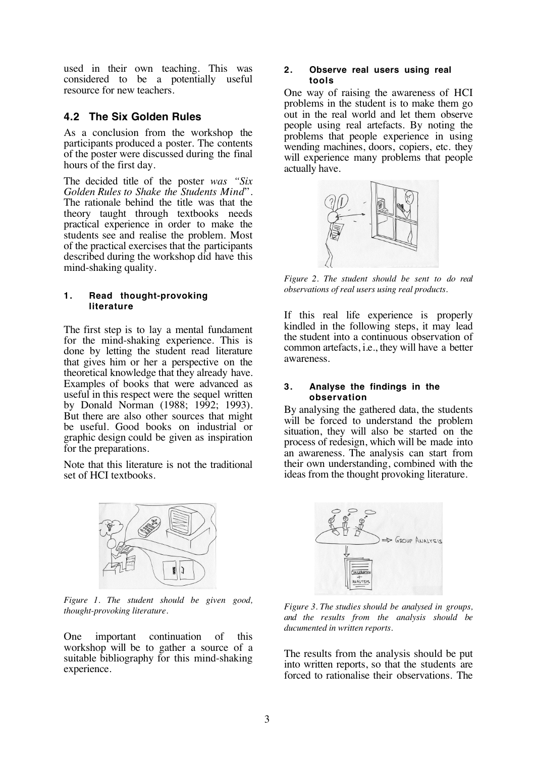used in their own teaching. This was considered to be a potentially useful resource for new teachers.

### **4.2 The Six Golden Rules**

As a conclusion from the workshop the participants produced a poster. The contents of the poster were discussed during the final hours of the first day.

The decided title of the poster *was "Six Golden Rules to Shake the Students Mind*". The rationale behind the title was that the theory taught through textbooks needs practical experience in order to make the students see and realise the problem. Most of the practical exercises that the participants described during the workshop did have this mind-shaking quality.

#### **1. Read thought-provoking literature**

The first step is to lay a mental fundament for the mind-shaking experience. This is done by letting the student read literature that gives him or her a perspective on the theoretical knowledge that they already have. Examples of books that were advanced as useful in this respect were the sequel written by Donald Norman (1988; 1992; 1993). But there are also other sources that might be useful. Good books on industrial or graphic design could be given as inspiration for the preparations.

Note that this literature is not the traditional set of HCI textbooks.



*Figure 1. The student should be given good, thought-provoking literature.*

One important continuation of this workshop will be to gather a source of a suitable bibliography for this mind-shaking experience.

#### **2. Observe real users using real tools**

One way of raising the awareness of HCI problems in the student is to make them go out in the real world and let them observe people using real artefacts. By noting the problems that people experience in using wending machines, doors, copiers, etc. they will experience many problems that people actually have.



*Figure 2. The student should be sent to do real observations of real users using real products.*

If this real life experience is properly kindled in the following steps, it may lead the student into a continuous observation of common artefacts, i.e., they will have a better awareness.

#### **3. Analyse the findings in the observation**

By analysing the gathered data, the students will be forced to understand the problem situation, they will also be started on the process of redesign, which will be made into an awareness. The analysis can start from their own understanding, combined with the ideas from the thought provoking literature.



*Figure 3. The studies should be analysed in groups, and the results from the analysis should be ducumented in written reports.*

The results from the analysis should be put into written reports, so that the students are forced to rationalise their observations. The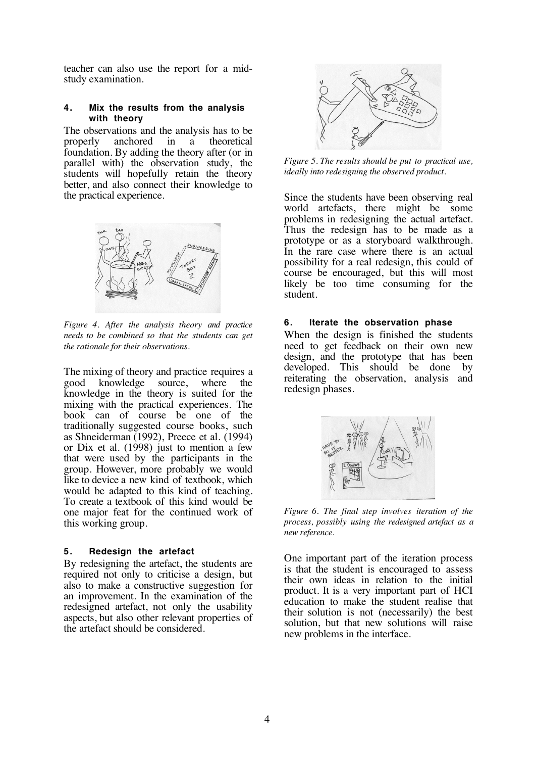teacher can also use the report for a midstudy examination.

#### **4. Mix the results from the analysis with theory**

The observations and the analysis has to be properly anchored in a theoretical foundation. By adding the theory after (or in parallel with) the observation study, the students will hopefully retain the theory better, and also connect their knowledge to the practical experience.



*Figure 4. After the analysis theory and practice needs to be combined so that the students can get the rationale for their observations.*

The mixing of theory and practice requires a good knowledge source, where the knowledge in the theory is suited for the mixing with the practical experiences. The book can of course be one of the traditionally suggested course books, such as Shneiderman (1992), Preece et al. (1994) or Dix et al. (1998) just to mention a few that were used by the participants in the group. However, more probably we would like to device a new kind of textbook, which would be adapted to this kind of teaching. To create a textbook of this kind would be one major feat for the continued work of this working group.

#### **5. Redesign the artefact**

By redesigning the artefact, the students are required not only to criticise a design, but also to make a constructive suggestion for an improvement. In the examination of the redesigned artefact, not only the usability aspects, but also other relevant properties of the artefact should be considered.



*Figure 5. The results should be put to practical use, ideally into redesigning the observed product.*

Since the students have been observing real world artefacts, there might be some problems in redesigning the actual artefact. Thus the redesign has to be made as a prototype or as a storyboard walkthrough. In the rare case where there is an actual possibility for a real redesign, this could of course be encouraged, but this will most likely be too time consuming for the student.

#### **6. Iterate the observation phase**

When the design is finished the students need to get feedback on their own new design, and the prototype that has been developed. This should be done by reiterating the observation, analysis and redesign phases.



*Figure 6. The final step involves iteration of the process, possibly using the redesigned artefact as a new reference.*

One important part of the iteration process is that the student is encouraged to assess their own ideas in relation to the initial product. It is a very important part of HCI education to make the student realise that their solution is not (necessarily) the best solution, but that new solutions will raise new problems in the interface.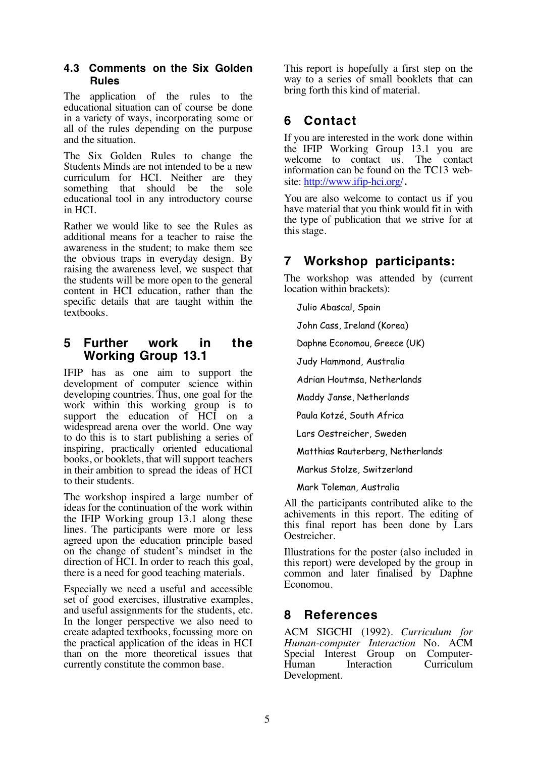#### **4.3 Comments on the Six Golden Rules**

The application of the rules to the educational situation can of course be done in a variety of ways, incorporating some or all of the rules depending on the purpose and the situation.

The Six Golden Rules to change the Students Minds are not intended to be a new curriculum for HCI. Neither are they something that should be the sole educational tool in any introductory course in HCI.

Rather we would like to see the Rules as additional means for a teacher to raise the awareness in the student; to make them see the obvious traps in everyday design. By raising the awareness level, we suspect that the students will be more open to the general content in HCI education, rather than the specific details that are taught within the textbooks.

## **5 Further work in the Working Group 13.1**

IFIP has as one aim to support the development of computer science within developing countries. Thus, one goal for the work within this working group is to support the education of HCI on a widespread arena over the world. One way to do this is to start publishing a series of inspiring, practically oriented educational books, or booklets, that will support teachers in their ambition to spread the ideas of HCI to their students.

The workshop inspired a large number of ideas for the continuation of the work within the IFIP Working group 13.1 along these lines. The participants were more or less agreed upon the education principle based on the change of student's mindset in the direction of HCI. In order to reach this goal, there is a need for good teaching materials.

Especially we need a useful and accessible set of good exercises, illustrative examples, and useful assignments for the students, etc. In the longer perspective we also need to create adapted textbooks, focussing more on the practical application of the ideas in HCI than on the more theoretical issues that currently constitute the common base.

This report is hopefully a first step on the way to a series of small booklets that can bring forth this kind of material.

## **6 Contact**

If you are interested in the work done within the IFIP Working Group 13.1 you are welcome to contact us. The contact information can be found on the TC13 website: http://www.ifip-hci.org/.

You are also welcome to contact us if you have material that you think would fit in with the type of publication that we strive for at this stage.

## **7 Workshop participants:**

The workshop was attended by (current location within brackets):

Julio Abascal, Spain

John Cass, Ireland (Korea)

Daphne Economou, Greece (UK)

Judy Hammond, Australia

Adrian Houtmsa, Netherlands

Maddy Janse, Netherlands

Paula Kotzé, South Africa

Lars Oestreicher, Sweden

Matthias Rauterberg, Netherlands

Markus Stolze, Switzerland

Mark Toleman, Australia

All the participants contributed alike to the achivements in this report. The editing of this final report has been done by Lars Oestreicher.

Illustrations for the poster (also included in this report) were developed by the group in common and later finalised by Daphne Economou.

## **8 References**

ACM SIGCHI (1992). *Curriculum for Human-computer Interaction* No. ACM Special Interest Group on Computer-<br>Human Interaction Curriculum Human Interaction Curriculum Development.